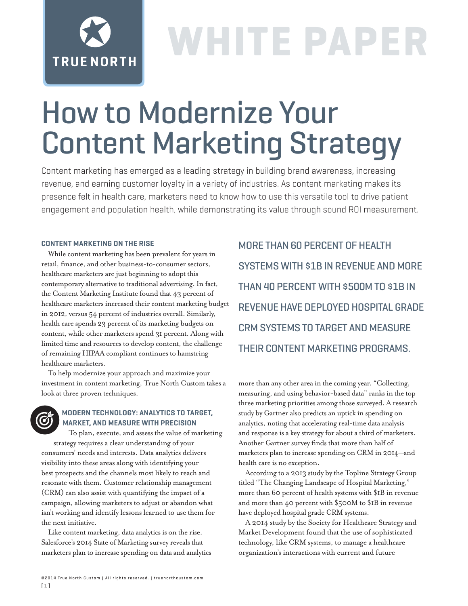# **TRUE NORTH**

## **WHITE PAPER**

### How to Modernize Your Content Marketing Strategy

Content marketing has emerged as a leading strategy in building brand awareness, increasing revenue, and earning customer loyalty in a variety of industries. As content marketing makes its presence felt in health care, marketers need to know how to use this versatile tool to drive patient engagement and population health, while demonstrating its value through sound ROI measurement.

### **CONTENT MARKETING ON THE RISE**

While content marketing has been prevalent for years in retail, finance, and other business-to-consumer sectors, healthcare marketers are just beginning to adopt this contemporary alternative to traditional advertising. In fact, the Content Marketing Institute found that 43 percent of healthcare marketers increased their content marketing budget in 2012, versus 54 percent of industries overall. Similarly, health care spends 23 percent of its marketing budgets on content, while other marketers spend 31 percent. Along with limited time and resources to develop content, the challenge of remaining HIPAA compliant continues to hamstring healthcare marketers.

To help modernize your approach and maximize your investment in content marketing, True North Custom takes a look at three proven techniques.

### **MODERN TECHNOLOGY: ANALYTICS TO TARGET, MARKET, AND MEASURE WITH PRECISION**

To plan, execute, and assess the value of marketing strategy requires a clear understanding of your consumers' needs and interests. Data analytics delivers visibility into these areas along with identifying your best prospects and the channels most likely to reach and resonate with them. Customer relationship management (CRM) can also assist with quantifying the impact of a campaign, allowing marketers to adjust or abandon what isn't working and identify lessons learned to use them for the next initiative.

Like content marketing, data analytics is on the rise. Salesforce's 2014 State of Marketing survey reveals that marketers plan to increase spending on data and analytics

MORE THAN 60 PERCENT OF HEALTH SYSTEMS WITH \$1B IN REVENUE AND MORE THAN 40 PERCENT WITH \$500M TO \$1B IN REVENUE HAVE DEPLOYED HOSPITAL GRADE CRM SYSTEMS TO TARGET AND MEASURE THEIR CONTENT MARKETING PROGRAMS.

more than any other area in the coming year. "Collecting, measuring, and using behavior-based data" ranks in the top three marketing priorities among those surveyed. A research study by Gartner also predicts an uptick in spending on analytics, noting that accelerating real-time data analysis and response is a key strategy for about a third of marketers. Another Gartner survey finds that more than half of marketers plan to increase spending on CRM in 2014—and health care is no exception.

According to a 2013 study by the Topline Strategy Group titled "The Changing Landscape of Hospital Marketing," more than 60 percent of health systems with \$1B in revenue and more than 40 percent with \$500M to \$1B in revenue have deployed hospital grade CRM systems.

A 2014 study by the Society for Healthcare Strategy and Market Development found that the use of sophisticated technology, like CRM systems, to manage a healthcare organization's interactions with current and future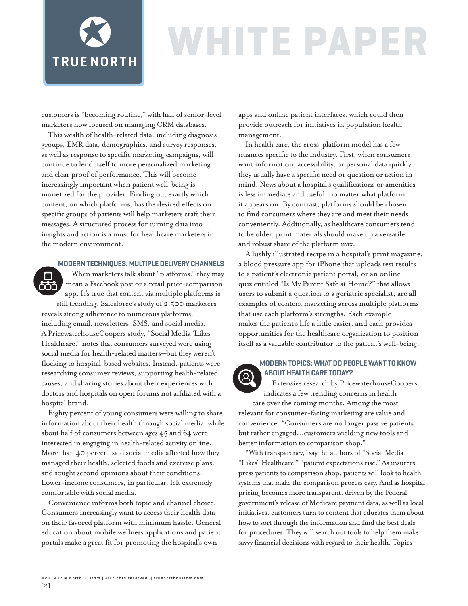

n

### WHITE PAP

customers is "becoming routine," with half of senior-level marketers now focused on managing CRM databases.

This wealth of health-related data, including diagnosis groups, EMR data, demographics, and survey responses, as well as response to specific marketing campaigns, will continue to lend itself to more personalized marketing and clear proof of performance. This will become increasingly important when patient well-being is monetized for the provider. Finding out exactly which content, on which platforms, has the desired effects on specific groups of patients will help marketers craft their messages. A structured process for turning data into insights and action is a must for healthcare marketers in the modern environment.

### **MODERN TECHNIQUES: MULTIPLE DELIVERY CHANNELS**

When marketers talk about "platforms," they may mean a Facebook post or a retail price-comparison <u>ser</u> app. It's true that content via multiple platforms is

still trending. Salesforce's study of 2,500 marketers reveals strong adherence to numerous platforms, including email, newsletters, SMS, and social media. A PricewaterhouseCoopers study, "Social Media 'Likes' Healthcare," notes that consumers surveyed were using social media for health-related matters—but they weren't flocking to hospital-based websites. Instead, patients were researching consumer reviews, supporting health-related causes, and sharing stories about their experiences with doctors and hospitals on open forums not affiliated with a hospital brand.

Eighty percent of young consumers were willing to share information about their health through social media, while about half of consumers between ages 45 and 64 were interested in engaging in health-related activity online. More than 40 percent said social media affected how they managed their health, selected foods and exercise plans, and sought second opinions about their conditions. Lower-income consumers, in particular, felt extremely comfortable with social media.

Convenience informs both topic and channel choice. Consumers increasingly want to access their health data on their favored platform with minimum hassle. General education about mobile wellness applications and patient portals make a great fit for promoting the hospital's own

apps and online patient interfaces, which could then provide outreach for initiatives in population health management.

In health care, the cross-platform model has a few nuances specific to the industry. First, when consumers want information, accessibility, or personal data quickly, they usually have a specific need or question or action in mind. News about a hospital's qualifications or amenities is less immediate and useful, no matter what platform it appears on. By contrast, platforms should be chosen to find consumers where they are and meet their needs conveniently. Additionally, as healthcare consumers tend to be older, print materials should make up a versatile and robust share of the platform mix.

A lushly illustrated recipe in a hospital's print magazine, a blood pressure app for iPhone that uploads test results to a patient's electronic patient portal, or an online quiz entitled "Is My Parent Safe at Home?" that allows users to submit a question to a geriatric specialist, are all examples of content marketing across multiple platforms that use each platform's strengths. Each example makes the patient's life a little easier, and each provides opportunities for the healthcare organization to position itself as a valuable contributor to the patient's well-being.



### **MODERN TOPICS: WHAT DO PEOPLE WANT TO KNOW ABOUT HEALTH CARE TODAY?**

Extensive research by PricewaterhouseCoopers indicates a few trending concerns in health

care over the coming months. Among the most relevant for consumer-facing marketing are value and convenience. "Consumers are no longer passive patients, but rather engaged…customers wielding new tools and better information to comparison shop."

"With transparency," say the authors of "Social Media "Likes" Healthcare," "patient expectations rise." As insurers press patients to comparison shop, patients will look to health systems that make the comparison process easy. And as hospital pricing becomes more transparent, driven by the Federal government's release of Medicare payment data, as well as local initiatives, customers turn to content that educates them about how to sort through the information and find the best deals for procedures. They will search out tools to help them make savvy financial decisions with regard to their health. Topics